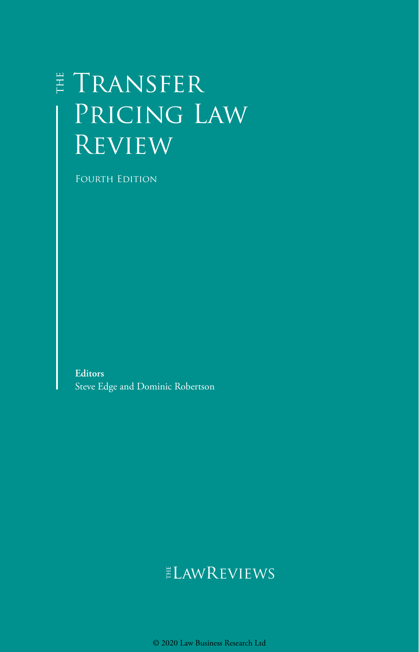# E TRANSFER Pricing Law Review

Fourth Edition

**Editors** Steve Edge and Dominic Robertson

## ELAWREVIEWS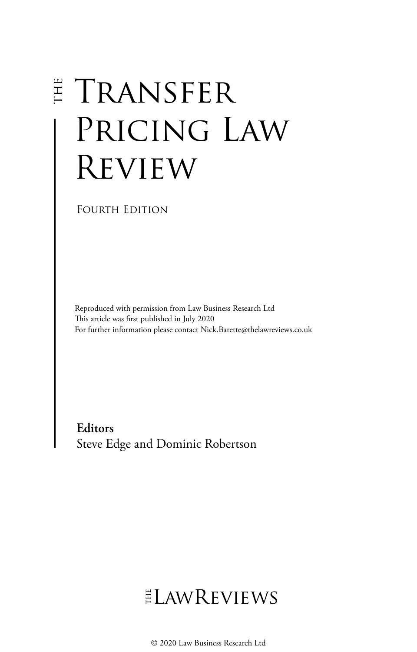# **E TRANSFER** PRICING LAW Review

Fourth Edition

Reproduced with permission from Law Business Research Ltd This article was first published in July 2020 For further information please contact Nick.Barette@thelawreviews.co.uk

**Editors** Steve Edge and Dominic Robertson

# ELAWREVIEWS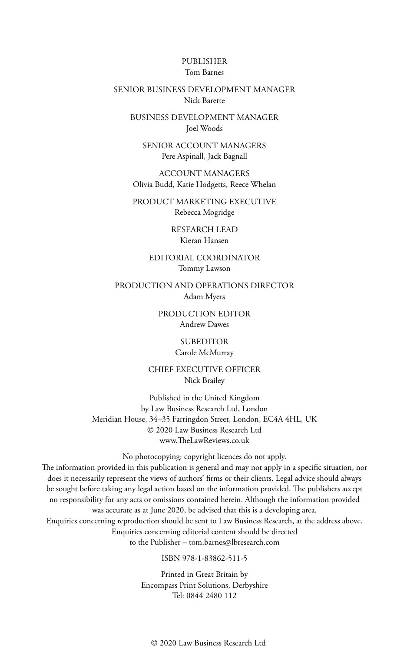#### PUBLISHER Tom Barnes

#### SENIOR BUSINESS DEVELOPMENT MANAGER Nick Barette

BUSINESS DEVELOPMENT MANAGER Joel Woods

SENIOR ACCOUNT MANAGERS Pere Aspinall, Jack Bagnall

ACCOUNT MANAGERS Olivia Budd, Katie Hodgetts, Reece Whelan

PRODUCT MARKETING EXECUTIVE Rebecca Mogridge

> RESEARCH LEAD Kieran Hansen

EDITORIAL COORDINATOR Tommy Lawson

PRODUCTION AND OPERATIONS DIRECTOR Adam Myers

> PRODUCTION EDITOR Andrew Dawes

> > SUBEDITOR Carole McMurray

CHIEF EXECUTIVE OFFICER Nick Brailey

Published in the United Kingdom by Law Business Research Ltd, London Meridian House, 34–35 Farringdon Street, London, EC4A 4HL, UK © 2020 Law Business Research Ltd www.TheLawReviews.co.uk

No photocopying: copyright licences do not apply. The information provided in this publication is general and may not apply in a specific situation, nor does it necessarily represent the views of authors' firms or their clients. Legal advice should always be sought before taking any legal action based on the information provided. The publishers accept no responsibility for any acts or omissions contained herein. Although the information provided was accurate as at June 2020, be advised that this is a developing area. Enquiries concerning reproduction should be sent to Law Business Research, at the address above. Enquiries concerning editorial content should be directed to the Publisher – tom.barnes@lbresearch.com

ISBN 978-1-83862-511-5

Printed in Great Britain by Encompass Print Solutions, Derbyshire Tel: 0844 2480 112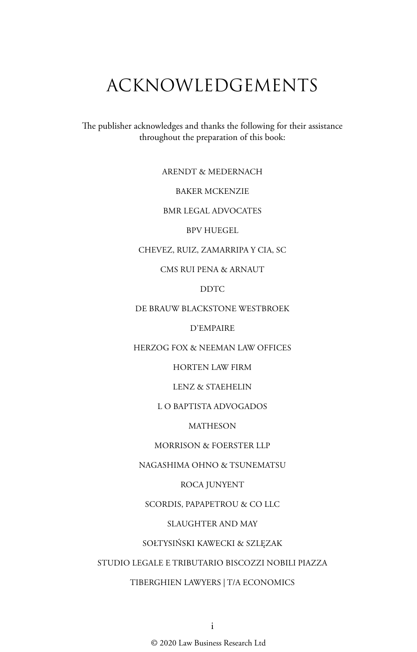# ACKNOWLEDGEMENTS

The publisher acknowledges and thanks the following for their assistance throughout the preparation of this book:

ARENDT & MEDERNACH

BAKER MCKENZIE

BMR LEGAL ADVOCATES

BPV HUEGEL

CHEVEZ, RUIZ, ZAMARRIPA Y CIA, SC

CMS RUI PENA & ARNAUT

DDTC

DE BRAUW BLACKSTONE WESTBROEK

D'EMPAIRE

HERZOG FOX & NEEMAN LAW OFFICES

HORTEN LAW FIRM

LENZ & STAEHELIN

L O BAPTISTA ADVOGADOS

MATHESON

MORRISON & FOERSTER LLP

NAGASHIMA OHNO & TSUNEMATSU

ROCA JUNYENT

SCORDIS, PAPAPETROU & CO LLC

SLAUGHTER AND MAY

SOŁTYSIŃSKI KAWECKI & SZLĘZAK

STUDIO LEGALE E TRIBUTARIO BISCOZZI NOBILI PIAZZA

TIBERGHIEN LAWYERS | T/A ECONOMICS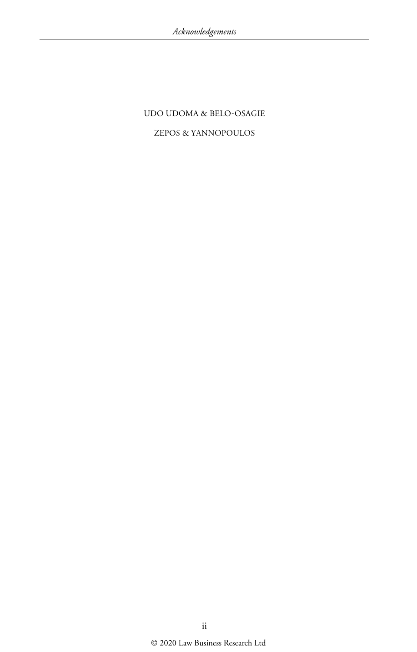#### UDO UDOMA & BELO-OSAGIE

#### ZEPOS & YANNOPOULOS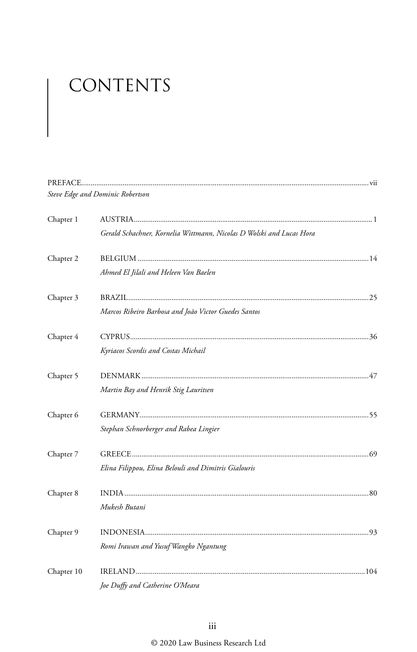# CONTENTS

|            | Steve Edge and Dominic Robertson                                     |  |
|------------|----------------------------------------------------------------------|--|
| Chapter 1  |                                                                      |  |
|            | Gerald Schachner, Kornelia Wittmann, Nicolas D Wolski and Lucas Hora |  |
| Chapter 2  |                                                                      |  |
|            | Ahmed El Jilali and Heleen Van Baelen                                |  |
| Chapter 3  |                                                                      |  |
|            | Marcos Ribeiro Barbosa and João Victor Guedes Santos                 |  |
| Chapter 4  |                                                                      |  |
|            | Kyriacos Scordis and Costas Michail                                  |  |
| Chapter 5  |                                                                      |  |
|            | Martin Bay and Henrik Stig Lauritsen                                 |  |
| Chapter 6  |                                                                      |  |
|            | Stephan Schnorberger and Rabea Lingier                               |  |
| Chapter 7  |                                                                      |  |
|            | Elina Filippou, Elina Belouli and Dimitris Gialouris                 |  |
| Chapter 8  |                                                                      |  |
|            | Mukesh Butani                                                        |  |
| Chapter 9  |                                                                      |  |
|            | Romi Irawan and Yusuf Wangko Ngantung                                |  |
| Chapter 10 |                                                                      |  |
|            | Joe Duffy and Catherine O'Meara                                      |  |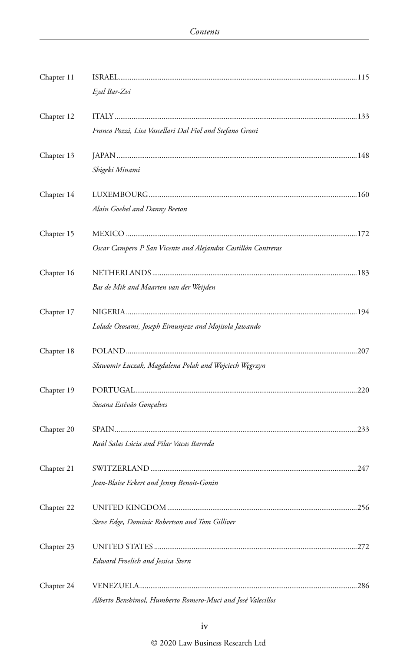| Chapter 11 |                                                               |  |
|------------|---------------------------------------------------------------|--|
|            | Eyal Bar-Zvi                                                  |  |
| Chapter 12 |                                                               |  |
|            | Franco Pozzi, Lisa Vascellari Dal Fiol and Stefano Grossi     |  |
| Chapter 13 |                                                               |  |
|            | Shigeki Minami                                                |  |
| Chapter 14 |                                                               |  |
|            | Alain Goebel and Danny Beeton                                 |  |
| Chapter 15 |                                                               |  |
|            | Oscar Campero P San Vicente and Alejandra Castillón Contreras |  |
| Chapter 16 |                                                               |  |
|            | Bas de Mik and Maarten van der Weijden                        |  |
| Chapter 17 |                                                               |  |
|            | Lolade Ososami, Joseph Eimunjeze and Mojisola Jawando         |  |
| Chapter 18 |                                                               |  |
|            | Sławomir Łuczak, Magdalena Polak and Wojciech Węgrzyn         |  |
| Chapter 19 |                                                               |  |
|            | Susana Estêvão Gonçalves                                      |  |
| Chapter 20 |                                                               |  |
|            | Raúl Salas Lúcia and Pilar Vacas Barreda                      |  |
| Chapter 21 |                                                               |  |
|            | Jean-Blaise Eckert and Jenny Benoit-Gonin                     |  |
| Chapter 22 |                                                               |  |
|            | Steve Edge, Dominic Robertson and Tom Gilliver                |  |
| Chapter 23 |                                                               |  |
|            | Edward Froelich and Jessica Stern                             |  |
| Chapter 24 |                                                               |  |
|            | Alberto Benshimol, Humberto Romero-Muci and José Valecillos   |  |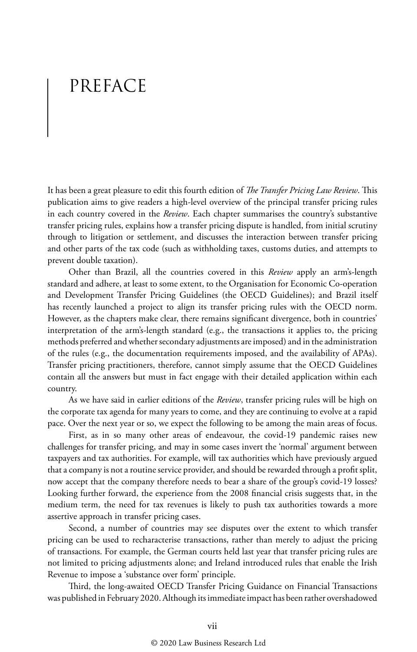# PREFACE

It has been a great pleasure to edit this fourth edition of *The Transfer Pricing Law Review*. This publication aims to give readers a high-level overview of the principal transfer pricing rules in each country covered in the *Review*. Each chapter summarises the country's substantive transfer pricing rules, explains how a transfer pricing dispute is handled, from initial scrutiny through to litigation or settlement, and discusses the interaction between transfer pricing and other parts of the tax code (such as withholding taxes, customs duties, and attempts to prevent double taxation).

Other than Brazil, all the countries covered in this *Review* apply an arm's-length standard and adhere, at least to some extent, to the Organisation for Economic Co-operation and Development Transfer Pricing Guidelines (the OECD Guidelines); and Brazil itself has recently launched a project to align its transfer pricing rules with the OECD norm. However, as the chapters make clear, there remains significant divergence, both in countries' interpretation of the arm's-length standard (e.g., the transactions it applies to, the pricing methods preferred and whether secondary adjustments are imposed) and in the administration of the rules (e.g., the documentation requirements imposed, and the availability of APAs). Transfer pricing practitioners, therefore, cannot simply assume that the OECD Guidelines contain all the answers but must in fact engage with their detailed application within each country.

As we have said in earlier editions of the *Review*, transfer pricing rules will be high on the corporate tax agenda for many years to come, and they are continuing to evolve at a rapid pace. Over the next year or so, we expect the following to be among the main areas of focus.

First, as in so many other areas of endeavour, the covid-19 pandemic raises new challenges for transfer pricing, and may in some cases invert the 'normal' argument between taxpayers and tax authorities. For example, will tax authorities which have previously argued that a company is not a routine service provider, and should be rewarded through a profit split, now accept that the company therefore needs to bear a share of the group's covid-19 losses? Looking further forward, the experience from the 2008 financial crisis suggests that, in the medium term, the need for tax revenues is likely to push tax authorities towards a more assertive approach in transfer pricing cases.

Second, a number of countries may see disputes over the extent to which transfer pricing can be used to recharacterise transactions, rather than merely to adjust the pricing of transactions. For example, the German courts held last year that transfer pricing rules are not limited to pricing adjustments alone; and Ireland introduced rules that enable the Irish Revenue to impose a 'substance over form' principle.

Third, the long-awaited OECD Transfer Pricing Guidance on Financial Transactions was published in February 2020. Although its immediate impact has been rather overshadowed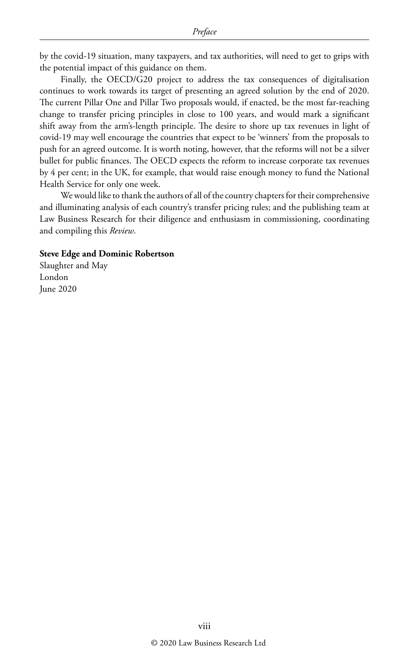by the covid-19 situation, many taxpayers, and tax authorities, will need to get to grips with the potential impact of this guidance on them.

Finally, the OECD/G20 project to address the tax consequences of digitalisation continues to work towards its target of presenting an agreed solution by the end of 2020. The current Pillar One and Pillar Two proposals would, if enacted, be the most far-reaching change to transfer pricing principles in close to 100 years, and would mark a significant shift away from the arm's-length principle. The desire to shore up tax revenues in light of covid-19 may well encourage the countries that expect to be 'winners' from the proposals to push for an agreed outcome. It is worth noting, however, that the reforms will not be a silver bullet for public finances. The OECD expects the reform to increase corporate tax revenues by 4 per cent; in the UK, for example, that would raise enough money to fund the National Health Service for only one week.

We would like to thank the authors of all of the country chapters for their comprehensive and illuminating analysis of each country's transfer pricing rules; and the publishing team at Law Business Research for their diligence and enthusiasm in commissioning, coordinating and compiling this *Review*.

#### **Steve Edge and Dominic Robertson**

Slaughter and May London June 2020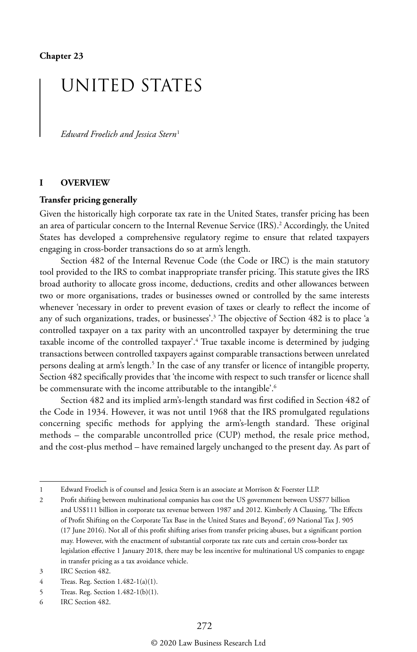## UNITED STATES

*Edward Froelich and Jessica Stern*<sup>1</sup>

#### **I OVERVIEW**

#### **Transfer pricing generally**

Given the historically high corporate tax rate in the United States, transfer pricing has been an area of particular concern to the Internal Revenue Service (IRS).<sup>2</sup> Accordingly, the United States has developed a comprehensive regulatory regime to ensure that related taxpayers engaging in cross-border transactions do so at arm's length.

Section 482 of the Internal Revenue Code (the Code or IRC) is the main statutory tool provided to the IRS to combat inappropriate transfer pricing. This statute gives the IRS broad authority to allocate gross income, deductions, credits and other allowances between two or more organisations, trades or businesses owned or controlled by the same interests whenever 'necessary in order to prevent evasion of taxes or clearly to reflect the income of any of such organizations, trades, or businesses'.3 The objective of Section 482 is to place 'a controlled taxpayer on a tax parity with an uncontrolled taxpayer by determining the true taxable income of the controlled taxpayer'.4 True taxable income is determined by judging transactions between controlled taxpayers against comparable transactions between unrelated persons dealing at arm's length.<sup>5</sup> In the case of any transfer or licence of intangible property, Section 482 specifically provides that 'the income with respect to such transfer or licence shall be commensurate with the income attributable to the intangible'.<sup>6</sup>

Section 482 and its implied arm's-length standard was first codified in Section 482 of the Code in 1934. However, it was not until 1968 that the IRS promulgated regulations concerning specific methods for applying the arm's-length standard. These original methods – the comparable uncontrolled price (CUP) method, the resale price method, and the cost-plus method – have remained largely unchanged to the present day. As part of

<sup>1</sup> Edward Froelich is of counsel and Jessica Stern is an associate at Morrison & Foerster LLP.

<sup>2</sup> Profit shifting between multinational companies has cost the US government between US\$77 billion and US\$111 billion in corporate tax revenue between 1987 and 2012. Kimberly A Clausing, 'The Effects of Profit Shifting on the Corporate Tax Base in the United States and Beyond', 69 National Tax J. 905 (17 June 2016). Not all of this profit shifting arises from transfer pricing abuses, but a significant portion may. However, with the enactment of substantial corporate tax rate cuts and certain cross-border tax legislation effective 1 January 2018, there may be less incentive for multinational US companies to engage in transfer pricing as a tax avoidance vehicle.

<sup>3</sup> IRC Section 482.

<sup>4</sup> Treas. Reg. Section 1.482-1(a)(1).

<sup>5</sup> Treas. Reg. Section 1.482-1(b)(1).

<sup>6</sup> IRC Section 482.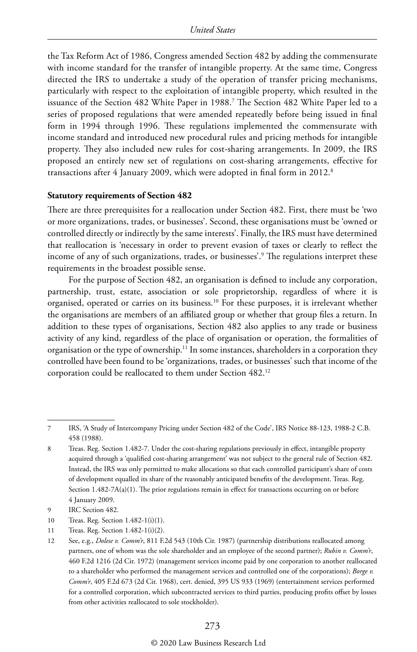the Tax Reform Act of 1986, Congress amended Section 482 by adding the commensurate with income standard for the transfer of intangible property. At the same time, Congress directed the IRS to undertake a study of the operation of transfer pricing mechanisms, particularly with respect to the exploitation of intangible property, which resulted in the issuance of the Section 482 White Paper in 1988.7 The Section 482 White Paper led to a series of proposed regulations that were amended repeatedly before being issued in final form in 1994 through 1996. These regulations implemented the commensurate with income standard and introduced new procedural rules and pricing methods for intangible property. They also included new rules for cost-sharing arrangements. In 2009, the IRS proposed an entirely new set of regulations on cost-sharing arrangements, effective for transactions after 4 January 2009, which were adopted in final form in 2012.<sup>8</sup>

#### **Statutory requirements of Section 482**

There are three prerequisites for a reallocation under Section 482. First, there must be 'two or more organizations, trades, or businesses'. Second, these organisations must be 'owned or controlled directly or indirectly by the same interests'. Finally, the IRS must have determined that reallocation is 'necessary in order to prevent evasion of taxes or clearly to reflect the income of any of such organizations, trades, or businesses'.9 The regulations interpret these requirements in the broadest possible sense.

For the purpose of Section 482, an organisation is defined to include any corporation, partnership, trust, estate, association or sole proprietorship, regardless of where it is organised, operated or carries on its business.10 For these purposes, it is irrelevant whether the organisations are members of an affiliated group or whether that group files a return. In addition to these types of organisations, Section 482 also applies to any trade or business activity of any kind, regardless of the place of organisation or operation, the formalities of organisation or the type of ownership.11 In some instances, shareholders in a corporation they controlled have been found to be 'organizations, trades, or businesses' such that income of the corporation could be reallocated to them under Section 482.12

<sup>7</sup> IRS, 'A Study of Intercompany Pricing under Section 482 of the Code', IRS Notice 88-123, 1988-2 C.B. 458 (1988).

<sup>8</sup> Treas. Reg. Section 1.482-7. Under the cost-sharing regulations previously in effect, intangible property acquired through a 'qualified cost-sharing arrangement' was not subject to the general rule of Section 482. Instead, the IRS was only permitted to make allocations so that each controlled participant's share of costs of development equalled its share of the reasonably anticipated benefits of the development. Treas. Reg. Section 1.482-7A(a)(1). The prior regulations remain in effect for transactions occurring on or before 4 January 2009.

<sup>9</sup> IRC Section 482.

<sup>10</sup> Treas. Reg. Section 1.482-1(i)(1).

<sup>11</sup> Treas. Reg. Section 1.482-1(i)(2).

<sup>12</sup> See, e.g., *Dolese v. Comm'r*, 811 F.2d 543 (10th Cir. 1987) (partnership distributions reallocated among partners, one of whom was the sole shareholder and an employee of the second partner); *Rubin v. Comm'r*, 460 F.2d 1216 (2d Cir. 1972) (management services income paid by one corporation to another reallocated to a shareholder who performed the management services and controlled one of the corporations); *Borge v. Comm'r*, 405 F.2d 673 (2d Cir. 1968), cert. denied, 395 US 933 (1969) (entertainment services performed for a controlled corporation, which subcontracted services to third parties, producing profits offset by losses from other activities reallocated to sole stockholder).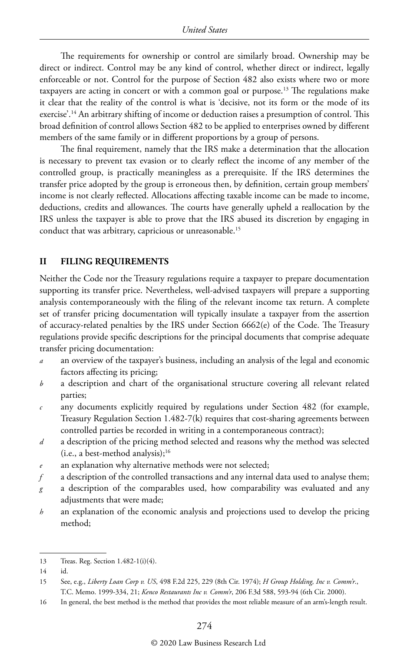The requirements for ownership or control are similarly broad. Ownership may be direct or indirect. Control may be any kind of control, whether direct or indirect, legally enforceable or not. Control for the purpose of Section 482 also exists where two or more taxpayers are acting in concert or with a common goal or purpose.<sup>13</sup> The regulations make it clear that the reality of the control is what is 'decisive, not its form or the mode of its exercise'.14 An arbitrary shifting of income or deduction raises a presumption of control. This broad definition of control allows Section 482 to be applied to enterprises owned by different members of the same family or in different proportions by a group of persons.

The final requirement, namely that the IRS make a determination that the allocation is necessary to prevent tax evasion or to clearly reflect the income of any member of the controlled group, is practically meaningless as a prerequisite. If the IRS determines the transfer price adopted by the group is erroneous then, by definition, certain group members' income is not clearly reflected. Allocations affecting taxable income can be made to income, deductions, credits and allowances. The courts have generally upheld a reallocation by the IRS unless the taxpayer is able to prove that the IRS abused its discretion by engaging in conduct that was arbitrary, capricious or unreasonable.<sup>15</sup>

#### **II FILING REQUIREMENTS**

Neither the Code nor the Treasury regulations require a taxpayer to prepare documentation supporting its transfer price. Nevertheless, well-advised taxpayers will prepare a supporting analysis contemporaneously with the filing of the relevant income tax return. A complete set of transfer pricing documentation will typically insulate a taxpayer from the assertion of accuracy-related penalties by the IRS under Section 6662(e) of the Code. The Treasury regulations provide specific descriptions for the principal documents that comprise adequate transfer pricing documentation:

- *a* an overview of the taxpayer's business, including an analysis of the legal and economic factors affecting its pricing;
- *b* a description and chart of the organisational structure covering all relevant related parties;
- *c* any documents explicitly required by regulations under Section 482 (for example, Treasury Regulation Section 1.482-7(k) requires that cost-sharing agreements between controlled parties be recorded in writing in a contemporaneous contract);
- *d* a description of the pricing method selected and reasons why the method was selected  $(i.e., a best-method analysis);$ <sup>16</sup>
- an explanation why alternative methods were not selected;
- *f* a description of the controlled transactions and any internal data used to analyse them;
- *g* a description of the comparables used, how comparability was evaluated and any adjustments that were made;
- *h* an explanation of the economic analysis and projections used to develop the pricing method;

16 In general, the best method is the method that provides the most reliable measure of an arm's-length result.

<sup>13</sup> Treas. Reg. Section 1.482-1(i)(4).

 $14$ 

<sup>15</sup> See, e.g., *Liberty Loan Corp v. US*, 498 F.2d 225, 229 (8th Cir. 1974); *H Group Holding, Inc v. Comm'r*., T.C. Memo. 1999-334, 21; *Kenco Restaurants Inc v. Comm'r*, 206 F.3d 588, 593-94 (6th Cir. 2000).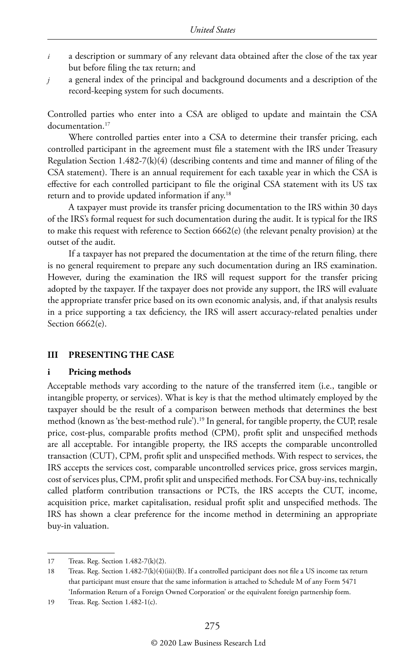- *i* a description or summary of any relevant data obtained after the close of the tax year but before filing the tax return; and
- *j* a general index of the principal and background documents and a description of the record-keeping system for such documents.

Controlled parties who enter into a CSA are obliged to update and maintain the CSA documentation.<sup>17</sup>

Where controlled parties enter into a CSA to determine their transfer pricing, each controlled participant in the agreement must file a statement with the IRS under Treasury Regulation Section 1.482-7(k)(4) (describing contents and time and manner of filing of the CSA statement). There is an annual requirement for each taxable year in which the CSA is effective for each controlled participant to file the original CSA statement with its US tax return and to provide updated information if any.18

A taxpayer must provide its transfer pricing documentation to the IRS within 30 days of the IRS's formal request for such documentation during the audit. It is typical for the IRS to make this request with reference to Section 6662(e) (the relevant penalty provision) at the outset of the audit.

If a taxpayer has not prepared the documentation at the time of the return filing, there is no general requirement to prepare any such documentation during an IRS examination. However, during the examination the IRS will request support for the transfer pricing adopted by the taxpayer. If the taxpayer does not provide any support, the IRS will evaluate the appropriate transfer price based on its own economic analysis, and, if that analysis results in a price supporting a tax deficiency, the IRS will assert accuracy-related penalties under Section 6662(e).

#### **III PRESENTING THE CASE**

#### **i Pricing methods**

Acceptable methods vary according to the nature of the transferred item (i.e., tangible or intangible property, or services). What is key is that the method ultimately employed by the taxpayer should be the result of a comparison between methods that determines the best method (known as 'the best-method rule').19 In general, for tangible property, the CUP, resale price, cost-plus, comparable profits method (CPM), profit split and unspecified methods are all acceptable. For intangible property, the IRS accepts the comparable uncontrolled transaction (CUT), CPM, profit split and unspecified methods. With respect to services, the IRS accepts the services cost, comparable uncontrolled services price, gross services margin, cost of services plus, CPM, profit split and unspecified methods. For CSA buy-ins, technically called platform contribution transactions or PCTs, the IRS accepts the CUT, income, acquisition price, market capitalisation, residual profit split and unspecified methods. The IRS has shown a clear preference for the income method in determining an appropriate buy-in valuation.

<sup>17</sup> Treas. Reg. Section 1.482-7(k)(2).

<sup>18</sup> Treas. Reg. Section 1.482-7(k)(4)(iii)(B). If a controlled participant does not file a US income tax return that participant must ensure that the same information is attached to Schedule M of any Form 5471 'Information Return of a Foreign Owned Corporation' or the equivalent foreign partnership form.

<sup>19</sup> Treas. Reg. Section 1.482-1(c).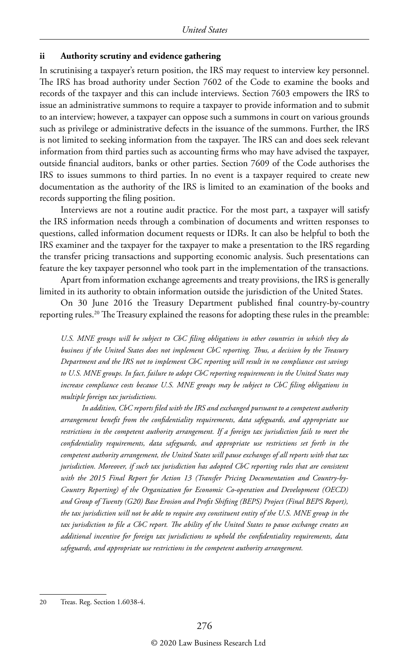#### **ii Authority scrutiny and evidence gathering**

In scrutinising a taxpayer's return position, the IRS may request to interview key personnel. The IRS has broad authority under Section 7602 of the Code to examine the books and records of the taxpayer and this can include interviews. Section 7603 empowers the IRS to issue an administrative summons to require a taxpayer to provide information and to submit to an interview; however, a taxpayer can oppose such a summons in court on various grounds such as privilege or administrative defects in the issuance of the summons. Further, the IRS is not limited to seeking information from the taxpayer. The IRS can and does seek relevant information from third parties such as accounting firms who may have advised the taxpayer, outside financial auditors, banks or other parties. Section 7609 of the Code authorises the IRS to issues summons to third parties. In no event is a taxpayer required to create new documentation as the authority of the IRS is limited to an examination of the books and records supporting the filing position.

Interviews are not a routine audit practice. For the most part, a taxpayer will satisfy the IRS information needs through a combination of documents and written responses to questions, called information document requests or IDRs. It can also be helpful to both the IRS examiner and the taxpayer for the taxpayer to make a presentation to the IRS regarding the transfer pricing transactions and supporting economic analysis. Such presentations can feature the key taxpayer personnel who took part in the implementation of the transactions.

Apart from information exchange agreements and treaty provisions, the IRS is generally limited in its authority to obtain information outside the jurisdiction of the United States.

On 30 June 2016 the Treasury Department published final country-by-country reporting rules.<sup>20</sup> The Treasury explained the reasons for adopting these rules in the preamble:

*U.S. MNE groups will be subject to CbC filing obligations in other countries in which they do business if the United States does not implement CbC reporting. Thus, a decision by the Treasury Department and the IRS not to implement CbC reporting will result in no compliance cost savings to U.S. MNE groups. In fact, failure to adopt CbC reporting requirements in the United States may increase compliance costs because U.S. MNE groups may be subject to CbC filing obligations in multiple foreign tax jurisdictions.*

*In addition, CbC reports filed with the IRS and exchanged pursuant to a competent authority arrangement benefit from the confidentiality requirements, data safeguards, and appropriate use restrictions in the competent authority arrangement. If a foreign tax jurisdiction fails to meet the confidentiality requirements, data safeguards, and appropriate use restrictions set forth in the competent authority arrangement, the United States will pause exchanges of all reports with that tax jurisdiction. Moreover, if such tax jurisdiction has adopted CbC reporting rules that are consistent with the 2015 Final Report for Action 13 (Transfer Pricing Documentation and Country-by-Country Reporting) of the Organization for Economic Co-operation and Development (OECD) and Group of Twenty (G20) Base Erosion and Profit Shifting (BEPS) Project (Final BEPS Report), the tax jurisdiction will not be able to require any constituent entity of the U.S. MNE group in the tax jurisdiction to file a CbC report. The ability of the United States to pause exchange creates an additional incentive for foreign tax jurisdictions to uphold the confidentiality requirements, data safeguards, and appropriate use restrictions in the competent authority arrangement.*

<sup>20</sup> Treas. Reg. Section 1.6038-4.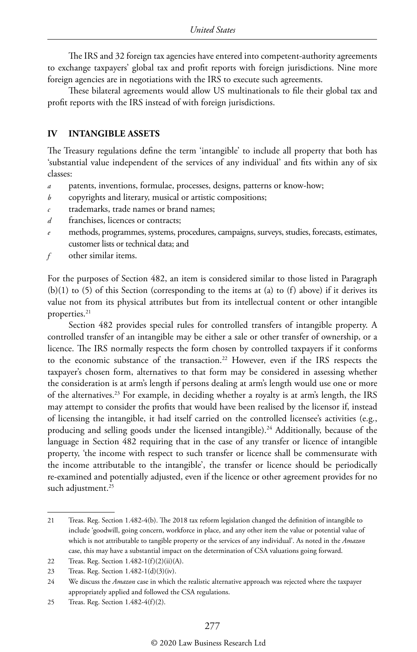The IRS and 32 foreign tax agencies have entered into competent-authority agreements to exchange taxpayers' global tax and profit reports with foreign jurisdictions. Nine more foreign agencies are in negotiations with the IRS to execute such agreements.

These bilateral agreements would allow US multinationals to file their global tax and profit reports with the IRS instead of with foreign jurisdictions.

#### **IV INTANGIBLE ASSETS**

The Treasury regulations define the term 'intangible' to include all property that both has 'substantial value independent of the services of any individual' and fits within any of six classes:

- *a* patents, inventions, formulae, processes, designs, patterns or know-how;
- *b* copyrights and literary, musical or artistic compositions;
- *c* trademarks, trade names or brand names;
- *d* franchises, licences or contracts;
- *e* methods, programmes, systems, procedures, campaigns, surveys, studies, forecasts, estimates, customer lists or technical data; and
- *f* other similar items.

For the purposes of Section 482, an item is considered similar to those listed in Paragraph  $(b)(1)$  to (5) of this Section (corresponding to the items at (a) to (f) above) if it derives its value not from its physical attributes but from its intellectual content or other intangible properties.<sup>21</sup>

Section 482 provides special rules for controlled transfers of intangible property. A controlled transfer of an intangible may be either a sale or other transfer of ownership, or a licence. The IRS normally respects the form chosen by controlled taxpayers if it conforms to the economic substance of the transaction.22 However, even if the IRS respects the taxpayer's chosen form, alternatives to that form may be considered in assessing whether the consideration is at arm's length if persons dealing at arm's length would use one or more of the alternatives.23 For example, in deciding whether a royalty is at arm's length, the IRS may attempt to consider the profits that would have been realised by the licensor if, instead of licensing the intangible, it had itself carried on the controlled licensee's activities (e.g., producing and selling goods under the licensed intangible).<sup>24</sup> Additionally, because of the language in Section 482 requiring that in the case of any transfer or licence of intangible property, 'the income with respect to such transfer or licence shall be commensurate with the income attributable to the intangible', the transfer or licence should be periodically re-examined and potentially adjusted, even if the licence or other agreement provides for no such adjustment.<sup>25</sup>

<sup>21</sup> Treas. Reg. Section 1.482-4(b). The 2018 tax reform legislation changed the definition of intangible to include 'goodwill, going concern, workforce in place, and any other item the value or potential value of which is not attributable to tangible property or the services of any individual'. As noted in the *Amazon* case, this may have a substantial impact on the determination of CSA valuations going forward.

<sup>22</sup> Treas. Reg. Section 1.482-1(f)(2)(ii)(A).

<sup>23</sup> Treas. Reg. Section 1.482-1(d)(3)(iv).

<sup>24</sup> We discuss the *Amazon* case in which the realistic alternative approach was rejected where the taxpayer appropriately applied and followed the CSA regulations.

<sup>25</sup> Treas. Reg. Section 1.482-4(f)(2).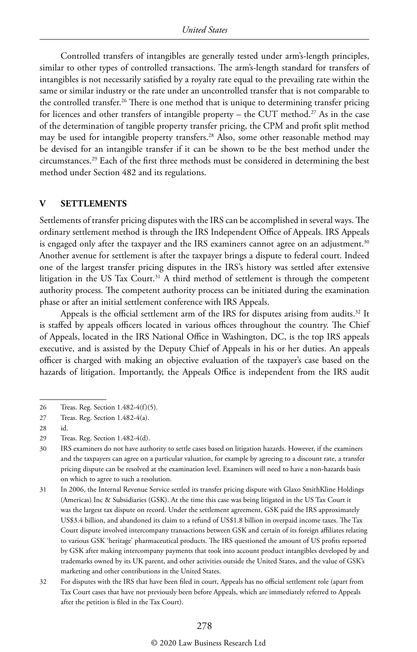Controlled transfers of intangibles are generally tested under arm's-length principles, similar to other types of controlled transactions. The arm's-length standard for transfers of intangibles is not necessarily satisfied by a royalty rate equal to the prevailing rate within the same or similar industry or the rate under an uncontrolled transfer that is not comparable to the controlled transfer.<sup>26</sup> There is one method that is unique to determining transfer pricing for licences and other transfers of intangible property – the CUT method.<sup>27</sup> As in the case of the determination of tangible property transfer pricing, the CPM and profit split method may be used for intangible property transfers.<sup>28</sup> Also, some other reasonable method may be devised for an intangible transfer if it can be shown to be the best method under the circumstances.29 Each of the first three methods must be considered in determining the best method under Section 482 and its regulations.

#### **V SETTLEMENTS**

Settlements of transfer pricing disputes with the IRS can be accomplished in several ways. The ordinary settlement method is through the IRS Independent Office of Appeals. IRS Appeals is engaged only after the taxpayer and the IRS examiners cannot agree on an adjustment.<sup>30</sup> Another avenue for settlement is after the taxpayer brings a dispute to federal court. Indeed one of the largest transfer pricing disputes in the IRS's history was settled after extensive litigation in the US Tax Court.<sup>31</sup> A third method of settlement is through the competent authority process. The competent authority process can be initiated during the examination phase or after an initial settlement conference with IRS Appeals.

Appeals is the official settlement arm of the IRS for disputes arising from audits.<sup>32</sup> It is staffed by appeals officers located in various offices throughout the country. The Chief of Appeals, located in the IRS National Office in Washington, DC, is the top IRS appeals executive, and is assisted by the Deputy Chief of Appeals in his or her duties. An appeals officer is charged with making an objective evaluation of the taxpayer's case based on the hazards of litigation. Importantly, the Appeals Office is independent from the IRS audit

32 For disputes with the IRS that have been filed in court, Appeals has no official settlement role (apart from Tax Court cases that have not previously been before Appeals, which are immediately referred to Appeals after the petition is filed in the Tax Court).

<sup>26</sup> Treas. Reg. Section 1.482-4(f)(5).

<sup>27</sup> Treas. Reg. Section 1.482-4(a).

<sup>28</sup> 

<sup>29</sup> Treas. Reg. Section 1.482-4(d).

<sup>30</sup> IRS examiners do not have authority to settle cases based on litigation hazards. However, if the examiners and the taxpayers can agree on a particular valuation, for example by agreeing to a discount rate, a transfer pricing dispute can be resolved at the examination level. Examiners will need to have a non-hazards basis on which to agree to such a resolution.

<sup>31</sup> In 2006, the Internal Revenue Service settled its transfer pricing dispute with Glaxo SmithKline Holdings (Americas) Inc & Subsidiaries (GSK). At the time this case was being litigated in the US Tax Court it was the largest tax dispute on record. Under the settlement agreement, GSK paid the IRS approximately US\$3.4 billion, and abandoned its claim to a refund of US\$1.8 billion in overpaid income taxes. The Tax Court dispute involved intercompany transactions between GSK and certain of its foreign affiliates relating to various GSK 'heritage' pharmaceutical products. The IRS questioned the amount of US profits reported by GSK after making intercompany payments that took into account product intangibles developed by and trademarks owned by its UK parent, and other activities outside the United States, and the value of GSK's marketing and other contributions in the United States.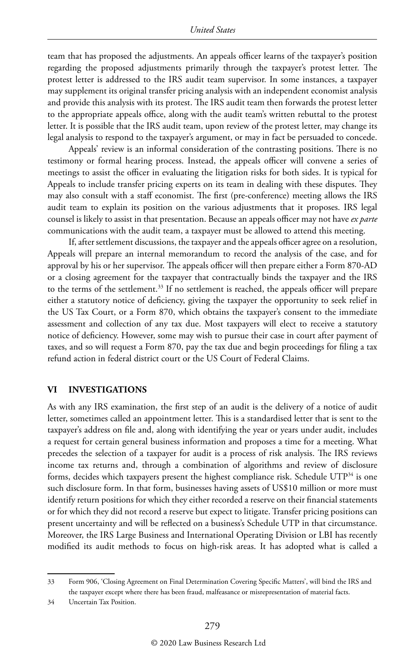team that has proposed the adjustments. An appeals officer learns of the taxpayer's position regarding the proposed adjustments primarily through the taxpayer's protest letter. The protest letter is addressed to the IRS audit team supervisor. In some instances, a taxpayer may supplement its original transfer pricing analysis with an independent economist analysis and provide this analysis with its protest. The IRS audit team then forwards the protest letter to the appropriate appeals office, along with the audit team's written rebuttal to the protest letter. It is possible that the IRS audit team, upon review of the protest letter, may change its legal analysis to respond to the taxpayer's argument, or may in fact be persuaded to concede.

Appeals' review is an informal consideration of the contrasting positions. There is no testimony or formal hearing process. Instead, the appeals officer will convene a series of meetings to assist the officer in evaluating the litigation risks for both sides. It is typical for Appeals to include transfer pricing experts on its team in dealing with these disputes. They may also consult with a staff economist. The first (pre-conference) meeting allows the IRS audit team to explain its position on the various adjustments that it proposes. IRS legal counsel is likely to assist in that presentation. Because an appeals officer may not have *ex parte* communications with the audit team, a taxpayer must be allowed to attend this meeting.

If, after settlement discussions, the taxpayer and the appeals officer agree on a resolution, Appeals will prepare an internal memorandum to record the analysis of the case, and for approval by his or her supervisor. The appeals officer will then prepare either a Form 870-AD or a closing agreement for the taxpayer that contractually binds the taxpayer and the IRS to the terms of the settlement.<sup>33</sup> If no settlement is reached, the appeals officer will prepare either a statutory notice of deficiency, giving the taxpayer the opportunity to seek relief in the US Tax Court, or a Form 870, which obtains the taxpayer's consent to the immediate assessment and collection of any tax due. Most taxpayers will elect to receive a statutory notice of deficiency. However, some may wish to pursue their case in court after payment of taxes, and so will request a Form 870, pay the tax due and begin proceedings for filing a tax refund action in federal district court or the US Court of Federal Claims.

#### **VI INVESTIGATIONS**

As with any IRS examination, the first step of an audit is the delivery of a notice of audit letter, sometimes called an appointment letter. This is a standardised letter that is sent to the taxpayer's address on file and, along with identifying the year or years under audit, includes a request for certain general business information and proposes a time for a meeting. What precedes the selection of a taxpayer for audit is a process of risk analysis. The IRS reviews income tax returns and, through a combination of algorithms and review of disclosure forms, decides which taxpayers present the highest compliance risk. Schedule  $\text{UTP}^{34}$  is one such disclosure form. In that form, businesses having assets of US\$10 million or more must identify return positions for which they either recorded a reserve on their financial statements or for which they did not record a reserve but expect to litigate. Transfer pricing positions can present uncertainty and will be reflected on a business's Schedule UTP in that circumstance. Moreover, the IRS Large Business and International Operating Division or LBI has recently modified its audit methods to focus on high-risk areas. It has adopted what is called a

34 Uncertain Tax Position.

<sup>33</sup> Form 906, 'Closing Agreement on Final Determination Covering Specific Matters', will bind the IRS and the taxpayer except where there has been fraud, malfeasance or misrepresentation of material facts.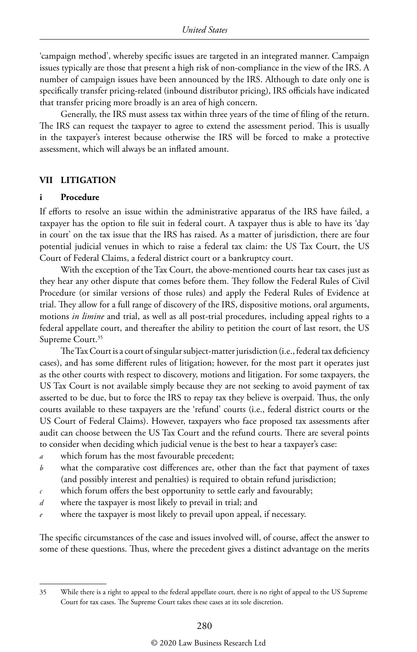'campaign method', whereby specific issues are targeted in an integrated manner. Campaign issues typically are those that present a high risk of non-compliance in the view of the IRS. A number of campaign issues have been announced by the IRS. Although to date only one is specifically transfer pricing-related (inbound distributor pricing), IRS officials have indicated that transfer pricing more broadly is an area of high concern.

Generally, the IRS must assess tax within three years of the time of filing of the return. The IRS can request the taxpayer to agree to extend the assessment period. This is usually in the taxpayer's interest because otherwise the IRS will be forced to make a protective assessment, which will always be an inflated amount.

#### **VII LITIGATION**

#### **i Procedure**

If efforts to resolve an issue within the administrative apparatus of the IRS have failed, a taxpayer has the option to file suit in federal court. A taxpayer thus is able to have its 'day in court' on the tax issue that the IRS has raised. As a matter of jurisdiction, there are four potential judicial venues in which to raise a federal tax claim: the US Tax Court, the US Court of Federal Claims, a federal district court or a bankruptcy court.

With the exception of the Tax Court, the above-mentioned courts hear tax cases just as they hear any other dispute that comes before them. They follow the Federal Rules of Civil Procedure (or similar versions of those rules) and apply the Federal Rules of Evidence at trial. They allow for a full range of discovery of the IRS, dispositive motions, oral arguments, motions *in limine* and trial, as well as all post-trial procedures, including appeal rights to a federal appellate court, and thereafter the ability to petition the court of last resort, the US Supreme Court.<sup>35</sup>

The Tax Court is a court of singular subject-matter jurisdiction (i.e., federal tax deficiency cases), and has some different rules of litigation; however, for the most part it operates just as the other courts with respect to discovery, motions and litigation. For some taxpayers, the US Tax Court is not available simply because they are not seeking to avoid payment of tax asserted to be due, but to force the IRS to repay tax they believe is overpaid. Thus, the only courts available to these taxpayers are the 'refund' courts (i.e., federal district courts or the US Court of Federal Claims). However, taxpayers who face proposed tax assessments after audit can choose between the US Tax Court and the refund courts. There are several points to consider when deciding which judicial venue is the best to hear a taxpayer's case:

- *a* which forum has the most favourable precedent;
- *b* what the comparative cost differences are, other than the fact that payment of taxes (and possibly interest and penalties) is required to obtain refund jurisdiction;
- *c* which forum offers the best opportunity to settle early and favourably;
- *d* where the taxpayer is most likely to prevail in trial; and
- where the taxpayer is most likely to prevail upon appeal, if necessary.

The specific circumstances of the case and issues involved will, of course, affect the answer to some of these questions. Thus, where the precedent gives a distinct advantage on the merits

<sup>35</sup> While there is a right to appeal to the federal appellate court, there is no right of appeal to the US Supreme Court for tax cases. The Supreme Court takes these cases at its sole discretion.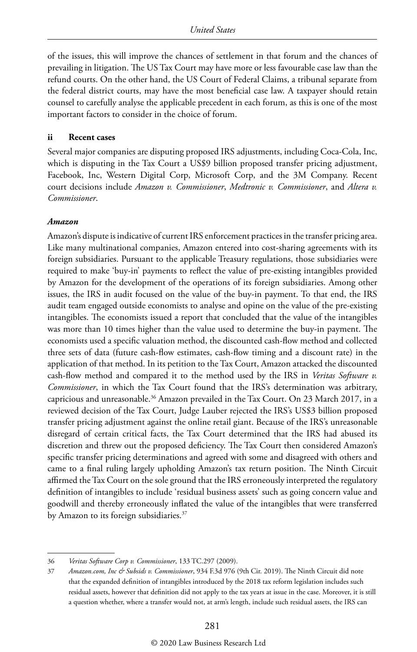of the issues, this will improve the chances of settlement in that forum and the chances of prevailing in litigation. The US Tax Court may have more or less favourable case law than the refund courts. On the other hand, the US Court of Federal Claims, a tribunal separate from the federal district courts, may have the most beneficial case law. A taxpayer should retain counsel to carefully analyse the applicable precedent in each forum, as this is one of the most important factors to consider in the choice of forum.

#### **ii Recent cases**

Several major companies are disputing proposed IRS adjustments, including Coca-Cola, Inc, which is disputing in the Tax Court a US\$9 billion proposed transfer pricing adjustment, Facebook, Inc, Western Digital Corp, Microsoft Corp, and the 3M Company. Recent court decisions include *Amazon v. Commissioner*, *Medtronic v. Commissioner*, and *Altera v. Commissioner*.

#### *Amazon*

Amazon's dispute is indicative of current IRS enforcement practices in the transfer pricing area. Like many multinational companies, Amazon entered into cost-sharing agreements with its foreign subsidiaries. Pursuant to the applicable Treasury regulations, those subsidiaries were required to make 'buy-in' payments to reflect the value of pre-existing intangibles provided by Amazon for the development of the operations of its foreign subsidiaries. Among other issues, the IRS in audit focused on the value of the buy-in payment. To that end, the IRS audit team engaged outside economists to analyse and opine on the value of the pre-existing intangibles. The economists issued a report that concluded that the value of the intangibles was more than 10 times higher than the value used to determine the buy-in payment. The economists used a specific valuation method, the discounted cash-flow method and collected three sets of data (future cash-flow estimates, cash-flow timing and a discount rate) in the application of that method. In its petition to the Tax Court, Amazon attacked the discounted cash-flow method and compared it to the method used by the IRS in *Veritas Software v. Commissioner*, in which the Tax Court found that the IRS's determination was arbitrary, capricious and unreasonable.<sup>36</sup> Amazon prevailed in the Tax Court. On 23 March 2017, in a reviewed decision of the Tax Court, Judge Lauber rejected the IRS's US\$3 billion proposed transfer pricing adjustment against the online retail giant. Because of the IRS's unreasonable disregard of certain critical facts, the Tax Court determined that the IRS had abused its discretion and threw out the proposed deficiency. The Tax Court then considered Amazon's specific transfer pricing determinations and agreed with some and disagreed with others and came to a final ruling largely upholding Amazon's tax return position. The Ninth Circuit affirmed the Tax Court on the sole ground that the IRS erroneously interpreted the regulatory definition of intangibles to include 'residual business assets' such as going concern value and goodwill and thereby erroneously inflated the value of the intangibles that were transferred by Amazon to its foreign subsidiaries.<sup>37</sup>

<sup>36</sup> *Veritas Software Corp v. Commissioner*, 133 TC.297 (2009).

<sup>37</sup> *Amazon.com, Inc & Subsids v. Commissioner*, 934 F.3d 976 (9th Cir. 2019). The Ninth Circuit did note that the expanded definition of intangibles introduced by the 2018 tax reform legislation includes such residual assets, however that definition did not apply to the tax years at issue in the case. Moreover, it is still a question whether, where a transfer would not, at arm's length, include such residual assets, the IRS can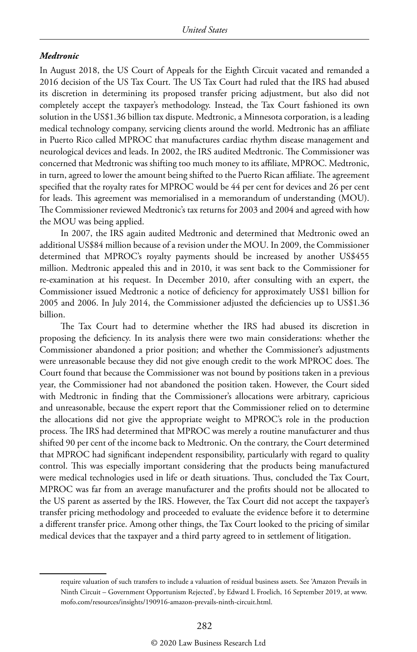#### *Medtronic*

In August 2018, the US Court of Appeals for the Eighth Circuit vacated and remanded a 2016 decision of the US Tax Court. The US Tax Court had ruled that the IRS had abused its discretion in determining its proposed transfer pricing adjustment, but also did not completely accept the taxpayer's methodology. Instead, the Tax Court fashioned its own solution in the US\$1.36 billion tax dispute. Medtronic, a Minnesota corporation, is a leading medical technology company, servicing clients around the world. Medtronic has an affiliate in Puerto Rico called MPROC that manufactures cardiac rhythm disease management and neurological devices and leads. In 2002, the IRS audited Medtronic. The Commissioner was concerned that Medtronic was shifting too much money to its affiliate, MPROC. Medtronic, in turn, agreed to lower the amount being shifted to the Puerto Rican affiliate. The agreement specified that the royalty rates for MPROC would be 44 per cent for devices and 26 per cent for leads. This agreement was memorialised in a memorandum of understanding (MOU). The Commissioner reviewed Medtronic's tax returns for 2003 and 2004 and agreed with how the MOU was being applied.

In 2007, the IRS again audited Medtronic and determined that Medtronic owed an additional US\$84 million because of a revision under the MOU. In 2009, the Commissioner determined that MPROC's royalty payments should be increased by another US\$455 million. Medtronic appealed this and in 2010, it was sent back to the Commissioner for re-examination at his request. In December 2010, after consulting with an expert, the Commissioner issued Medtronic a notice of deficiency for approximately US\$1 billion for 2005 and 2006. In July 2014, the Commissioner adjusted the deficiencies up to US\$1.36 billion.

The Tax Court had to determine whether the IRS had abused its discretion in proposing the deficiency. In its analysis there were two main considerations: whether the Commissioner abandoned a prior position; and whether the Commissioner's adjustments were unreasonable because they did not give enough credit to the work MPROC does. The Court found that because the Commissioner was not bound by positions taken in a previous year, the Commissioner had not abandoned the position taken. However, the Court sided with Medtronic in finding that the Commissioner's allocations were arbitrary, capricious and unreasonable, because the expert report that the Commissioner relied on to determine the allocations did not give the appropriate weight to MPROC's role in the production process. The IRS had determined that MPROC was merely a routine manufacturer and thus shifted 90 per cent of the income back to Medtronic. On the contrary, the Court determined that MPROC had significant independent responsibility, particularly with regard to quality control. This was especially important considering that the products being manufactured were medical technologies used in life or death situations. Thus, concluded the Tax Court, MPROC was far from an average manufacturer and the profits should not be allocated to the US parent as asserted by the IRS. However, the Tax Court did not accept the taxpayer's transfer pricing methodology and proceeded to evaluate the evidence before it to determine a different transfer price. Among other things, the Tax Court looked to the pricing of similar medical devices that the taxpayer and a third party agreed to in settlement of litigation.

require valuation of such transfers to include a valuation of residual business assets. See 'Amazon Prevails in Ninth Circuit – Government Opportunism Rejected', by Edward L Froelich, 16 September 2019, at www. mofo.com/resources/insights/190916-amazon-prevails-ninth-circuit.html.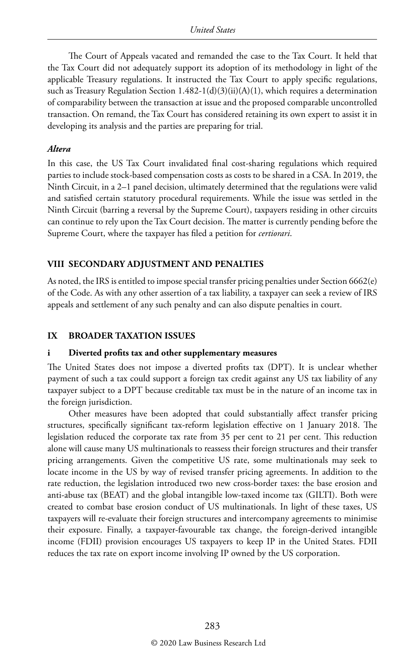The Court of Appeals vacated and remanded the case to the Tax Court. It held that the Tax Court did not adequately support its adoption of its methodology in light of the applicable Treasury regulations. It instructed the Tax Court to apply specific regulations, such as Treasury Regulation Section 1.482-1(d)(3)(ii)(A)(1), which requires a determination of comparability between the transaction at issue and the proposed comparable uncontrolled transaction. On remand, the Tax Court has considered retaining its own expert to assist it in developing its analysis and the parties are preparing for trial.

#### *Altera*

In this case, the US Tax Court invalidated final cost-sharing regulations which required parties to include stock-based compensation costs as costs to be shared in a CSA. In 2019, the Ninth Circuit, in a 2–1 panel decision, ultimately determined that the regulations were valid and satisfied certain statutory procedural requirements. While the issue was settled in the Ninth Circuit (barring a reversal by the Supreme Court), taxpayers residing in other circuits can continue to rely upon the Tax Court decision. The matter is currently pending before the Supreme Court, where the taxpayer has filed a petition for *certiorari*.

#### **VIII SECONDARY ADJUSTMENT AND PENALTIES**

As noted, the IRS is entitled to impose special transfer pricing penalties under Section 6662(e) of the Code. As with any other assertion of a tax liability, a taxpayer can seek a review of IRS appeals and settlement of any such penalty and can also dispute penalties in court.

#### **IX BROADER TAXATION ISSUES**

#### **i Diverted profits tax and other supplementary measures**

The United States does not impose a diverted profits tax (DPT). It is unclear whether payment of such a tax could support a foreign tax credit against any US tax liability of any taxpayer subject to a DPT because creditable tax must be in the nature of an income tax in the foreign jurisdiction.

Other measures have been adopted that could substantially affect transfer pricing structures, specifically significant tax-reform legislation effective on 1 January 2018. The legislation reduced the corporate tax rate from 35 per cent to 21 per cent. This reduction alone will cause many US multinationals to reassess their foreign structures and their transfer pricing arrangements. Given the competitive US rate, some multinationals may seek to locate income in the US by way of revised transfer pricing agreements. In addition to the rate reduction, the legislation introduced two new cross-border taxes: the base erosion and anti-abuse tax (BEAT) and the global intangible low-taxed income tax (GILTI). Both were created to combat base erosion conduct of US multinationals. In light of these taxes, US taxpayers will re-evaluate their foreign structures and intercompany agreements to minimise their exposure. Finally, a taxpayer-favourable tax change, the foreign-derived intangible income (FDII) provision encourages US taxpayers to keep IP in the United States. FDII reduces the tax rate on export income involving IP owned by the US corporation.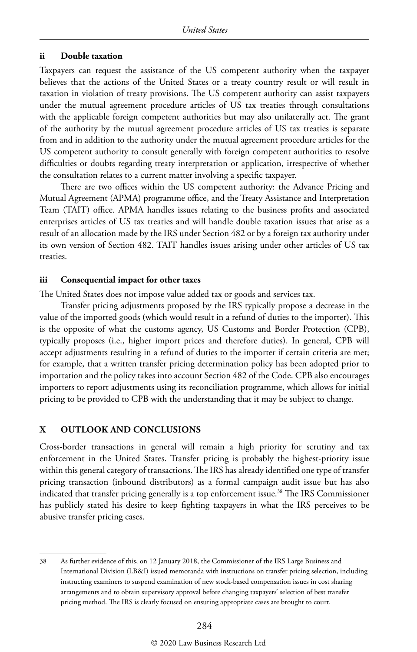#### **ii Double taxation**

Taxpayers can request the assistance of the US competent authority when the taxpayer believes that the actions of the United States or a treaty country result or will result in taxation in violation of treaty provisions. The US competent authority can assist taxpayers under the mutual agreement procedure articles of US tax treaties through consultations with the applicable foreign competent authorities but may also unilaterally act. The grant of the authority by the mutual agreement procedure articles of US tax treaties is separate from and in addition to the authority under the mutual agreement procedure articles for the US competent authority to consult generally with foreign competent authorities to resolve difficulties or doubts regarding treaty interpretation or application, irrespective of whether the consultation relates to a current matter involving a specific taxpayer.

There are two offices within the US competent authority: the Advance Pricing and Mutual Agreement (APMA) programme office, and the Treaty Assistance and Interpretation Team (TAIT) office. APMA handles issues relating to the business profits and associated enterprises articles of US tax treaties and will handle double taxation issues that arise as a result of an allocation made by the IRS under Section 482 or by a foreign tax authority under its own version of Section 482. TAIT handles issues arising under other articles of US tax treaties.

#### **iii Consequential impact for other taxes**

The United States does not impose value added tax or goods and services tax.

Transfer pricing adjustments proposed by the IRS typically propose a decrease in the value of the imported goods (which would result in a refund of duties to the importer). This is the opposite of what the customs agency, US Customs and Border Protection (CPB), typically proposes (i.e., higher import prices and therefore duties). In general, CPB will accept adjustments resulting in a refund of duties to the importer if certain criteria are met; for example, that a written transfer pricing determination policy has been adopted prior to importation and the policy takes into account Section 482 of the Code. CPB also encourages importers to report adjustments using its reconciliation programme, which allows for initial pricing to be provided to CPB with the understanding that it may be subject to change.

#### **X OUTLOOK AND CONCLUSIONS**

Cross-border transactions in general will remain a high priority for scrutiny and tax enforcement in the United States. Transfer pricing is probably the highest-priority issue within this general category of transactions. The IRS has already identified one type of transfer pricing transaction (inbound distributors) as a formal campaign audit issue but has also indicated that transfer pricing generally is a top enforcement issue.<sup>38</sup> The IRS Commissioner has publicly stated his desire to keep fighting taxpayers in what the IRS perceives to be abusive transfer pricing cases.

<sup>38</sup> As further evidence of this, on 12 January 2018, the Commissioner of the IRS Large Business and International Division (LB&I) issued memoranda with instructions on transfer pricing selection, including instructing examiners to suspend examination of new stock-based compensation issues in cost sharing arrangements and to obtain supervisory approval before changing taxpayers' selection of best transfer pricing method. The IRS is clearly focused on ensuring appropriate cases are brought to court.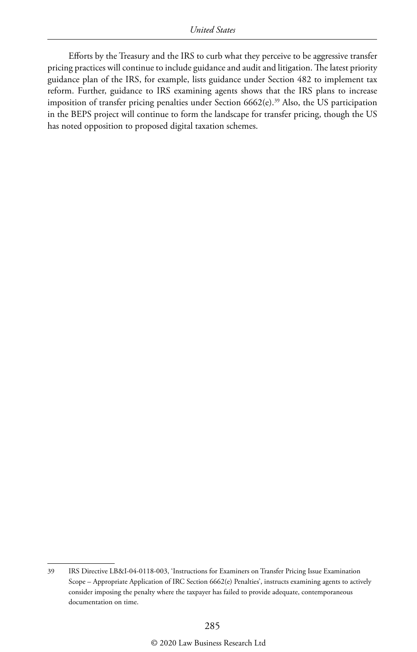Efforts by the Treasury and the IRS to curb what they perceive to be aggressive transfer pricing practices will continue to include guidance and audit and litigation. The latest priority guidance plan of the IRS, for example, lists guidance under Section 482 to implement tax reform. Further, guidance to IRS examining agents shows that the IRS plans to increase imposition of transfer pricing penalties under Section 6662(e).<sup>39</sup> Also, the US participation in the BEPS project will continue to form the landscape for transfer pricing, though the US has noted opposition to proposed digital taxation schemes.

<sup>39</sup> IRS Directive LB&I-04-0118-003, 'Instructions for Examiners on Transfer Pricing Issue Examination Scope – Appropriate Application of IRC Section 6662(e) Penalties', instructs examining agents to actively consider imposing the penalty where the taxpayer has failed to provide adequate, contemporaneous documentation on time.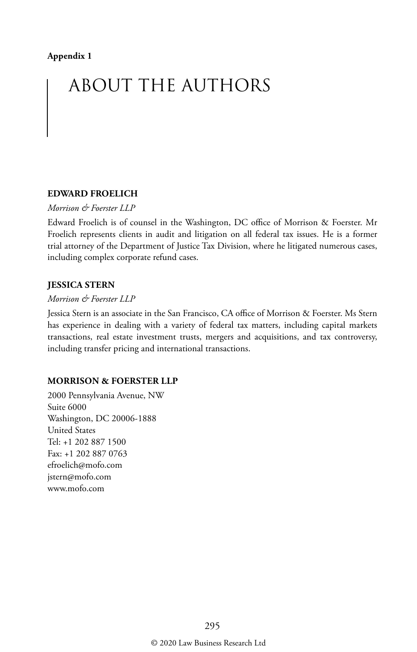#### **Appendix 1**

# ABOUT THE AUTHORS

#### **EDWARD FROELICH**

#### *Morrison & Foerster LLP*

Edward Froelich is of counsel in the Washington, DC office of Morrison & Foerster. Mr Froelich represents clients in audit and litigation on all federal tax issues. He is a former trial attorney of the Department of Justice Tax Division, where he litigated numerous cases, including complex corporate refund cases.

#### **JESSICA STERN**

#### *Morrison & Foerster LLP*

Jessica Stern is an associate in the San Francisco, CA office of Morrison & Foerster. Ms Stern has experience in dealing with a variety of federal tax matters, including capital markets transactions, real estate investment trusts, mergers and acquisitions, and tax controversy, including transfer pricing and international transactions.

#### **MORRISON & FOERSTER LLP**

2000 Pennsylvania Avenue, NW Suite 6000 Washington, DC 20006-1888 United States Tel: +1 202 887 1500 Fax: +1 202 887 0763 efroelich@mofo.com jstern@mofo.com www.mofo.com